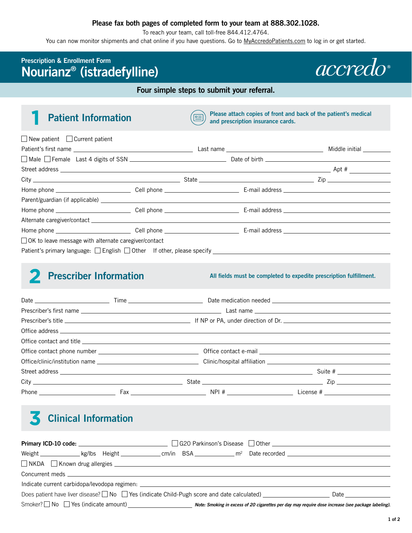### **Please fax both pages of completed form to your team at 888.302.1028.**

To reach your team, call toll-free 844.412.4764.

You can now monitor shipments and chat online if you have questions. Go to [MyAccredoPatients.com](https://MyAccredoPatients.com) to log in or get started.

## **Prescription & Enrollment Form Nourianz® (istradefylline)**



#### **Four simple steps to submit your referral.**

**Patient Information Please attach copies of front and back of the patient's medical and prescription insurance cards and prescription insurance cards.** 

| $\Box$ New patient $\Box$ Current patient                                        |  |  |
|----------------------------------------------------------------------------------|--|--|
|                                                                                  |  |  |
|                                                                                  |  |  |
|                                                                                  |  |  |
|                                                                                  |  |  |
|                                                                                  |  |  |
|                                                                                  |  |  |
|                                                                                  |  |  |
|                                                                                  |  |  |
|                                                                                  |  |  |
| □ OK to leave message with alternate caregiver/contact                           |  |  |
| Patient's primary language: □ English □ Other If other, please specify _________ |  |  |

## **2** Prescriber Information

**All fields must be completed to expedite prescription fulfillment.** 

# **Clinical Information**

| Weight $\mu$ kg/lbs Height $\mu$ at example $\mu$ Date recorded $\mu$                                                                                                                                                          |                                                                                                    |                      |
|--------------------------------------------------------------------------------------------------------------------------------------------------------------------------------------------------------------------------------|----------------------------------------------------------------------------------------------------|----------------------|
|                                                                                                                                                                                                                                |                                                                                                    |                      |
| Concurrent meds and the contract of the contract of the contract of the contract of the contract of the contract of the contract of the contract of the contract of the contract of the contract of the contract of the contra |                                                                                                    |                      |
| Indicate current carbidopa/levodopa regimen:                                                                                                                                                                                   |                                                                                                    |                      |
| Does patient have liver disease? $\Box$ No $\Box$ Yes (indicate Child-Pugh score and date calculated)                                                                                                                          |                                                                                                    | Date _______________ |
|                                                                                                                                                                                                                                | Note: Smoking in excess of 20 cigarettes per day may require dose increase (see package labeling). |                      |